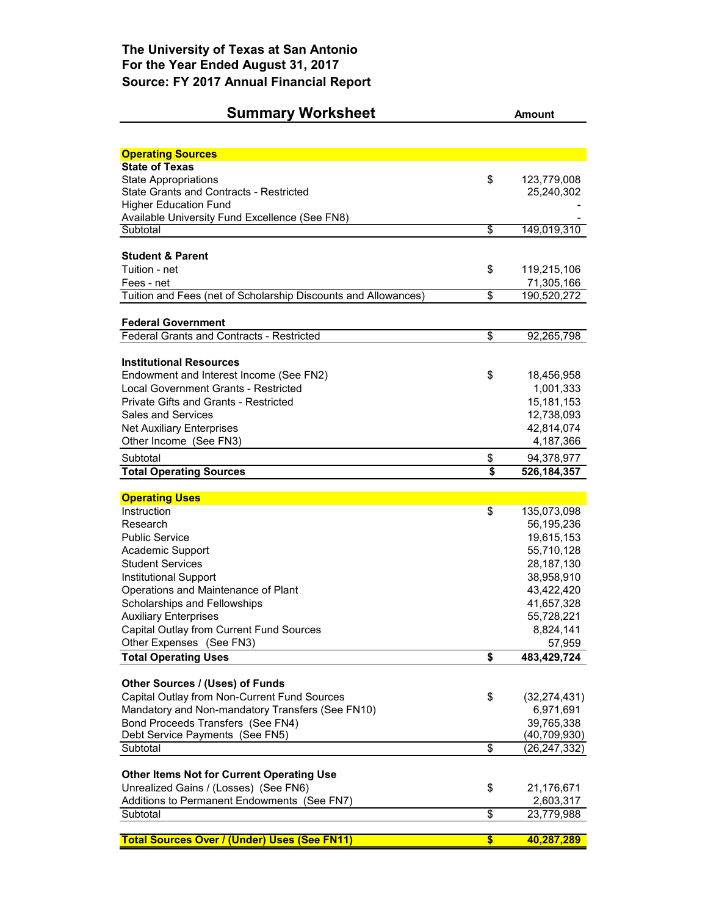## **Summary Worksheet Amount**

| <b>Operating Sources</b>                                                      |                            |
|-------------------------------------------------------------------------------|----------------------------|
| <b>State of Texas</b>                                                         |                            |
| <b>State Appropriations</b>                                                   | \$<br>123,779,008          |
| State Grants and Contracts - Restricted                                       | 25,240,302                 |
| <b>Higher Education Fund</b>                                                  |                            |
| Available University Fund Excellence (See FN8)<br>Subtotal                    | \$<br>149,019,310          |
|                                                                               |                            |
| <b>Student &amp; Parent</b>                                                   |                            |
| Tuition - net                                                                 | \$<br>119,215,106          |
| Fees - net                                                                    | 71,305,166                 |
| Tuition and Fees (net of Scholarship Discounts and Allowances)                | \$<br>190,520,272          |
|                                                                               |                            |
| <b>Federal Government</b><br><b>Federal Grants and Contracts - Restricted</b> | \$<br>92,265,798           |
|                                                                               |                            |
| <b>Institutional Resources</b>                                                |                            |
| Endowment and Interest Income (See FN2)                                       | \$<br>18,456,958           |
| <b>Local Government Grants - Restricted</b>                                   | 1,001,333                  |
| <b>Private Gifts and Grants - Restricted</b>                                  | 15, 181, 153               |
| <b>Sales and Services</b>                                                     | 12,738,093                 |
| <b>Net Auxiliary Enterprises</b>                                              | 42,814,074                 |
| Other Income (See FN3)                                                        | 4,187,366                  |
| Subtotal                                                                      | \$<br>94,378,977           |
| <b>Total Operating Sources</b>                                                | \$<br>526, 184, 357        |
|                                                                               |                            |
|                                                                               |                            |
| <b>Operating Uses</b>                                                         |                            |
| Instruction                                                                   | \$<br>135,073,098          |
| Research<br><b>Public Service</b>                                             | 56,195,236                 |
|                                                                               | 19,615,153                 |
| Academic Support<br><b>Student Services</b>                                   | 55,710,128<br>28,187,130   |
| <b>Institutional Support</b>                                                  | 38,958,910                 |
| Operations and Maintenance of Plant                                           | 43,422,420                 |
| Scholarships and Fellowships                                                  | 41,657,328                 |
| <b>Auxiliary Enterprises</b>                                                  | 55,728,221                 |
| Capital Outlay from Current Fund Sources                                      | 8,824,141                  |
| Other Expenses (See FN3)                                                      | 57,959                     |
| <b>Total Operating Uses</b>                                                   | \$<br>483,429,724          |
|                                                                               |                            |
| Other Sources / (Uses) of Funds                                               |                            |
| Capital Outlay from Non-Current Fund Sources                                  | \$<br>(32, 274, 431)       |
| Mandatory and Non-mandatory Transfers (See FN10)                              | 6,971,691                  |
| Bond Proceeds Transfers (See FN4)<br>Debt Service Payments (See FN5)          | 39,765,338<br>(40,709,930) |
| Subtotal                                                                      | \$<br>(26,247,332)         |
|                                                                               |                            |
| <b>Other Items Not for Current Operating Use</b>                              |                            |
| Unrealized Gains / (Losses) (See FN6)                                         | \$<br>21,176,671           |
| Additions to Permanent Endowments (See FN7)                                   | 2,603,317                  |
| Subtotal                                                                      | \$<br>23,779,988           |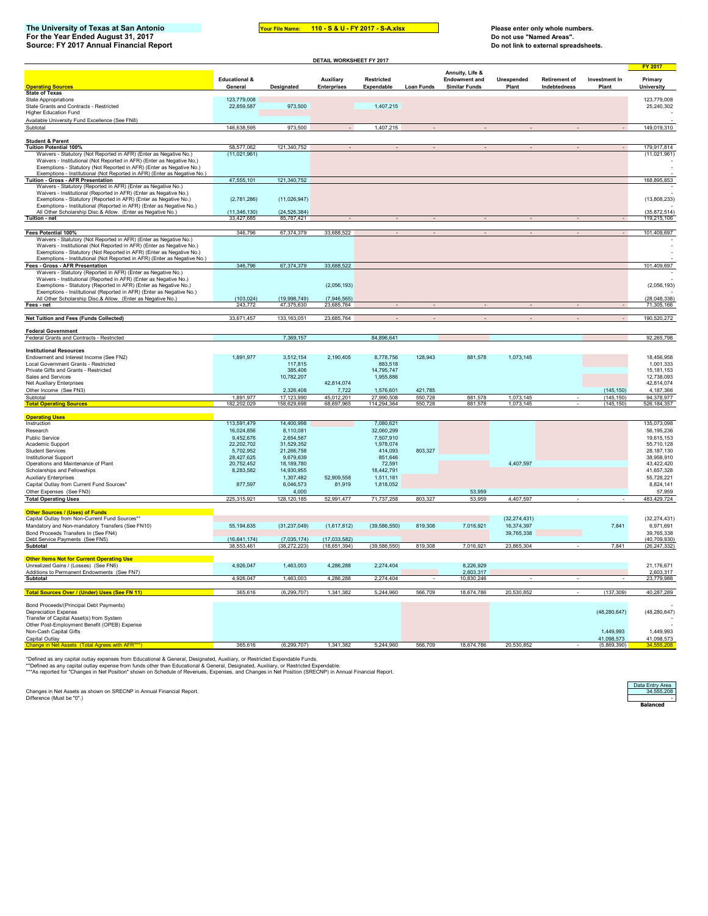## **The University of Texas at San Antonio Your File Name: Please enter only whole numbers. For the Year Ended August 31, 2017 Do not use "Named Areas". Source: FY 2017 Annual Financial Report Do not link to external spreadsheets.**

**Your File Name: 110 - S & U - FY 2017 - S-A.xlsx** 

3 5 6 8 9 0 #

| DETAIL WORKSHEET FY 2017                                                                                                                                                                                                                                                                       |                              |                               |                              |                         |                    |                                         |                |                      |                         |                                  |
|------------------------------------------------------------------------------------------------------------------------------------------------------------------------------------------------------------------------------------------------------------------------------------------------|------------------------------|-------------------------------|------------------------------|-------------------------|--------------------|-----------------------------------------|----------------|----------------------|-------------------------|----------------------------------|
|                                                                                                                                                                                                                                                                                                | <b>Educational &amp;</b>     |                               | Auxiliary                    | Restricted              |                    | Annuity, Life &<br><b>Endowment and</b> | Unexpended     | <b>Retirement of</b> | Investment In           | <b>FY 2017</b><br>Primary        |
| <b>Operating Sources</b>                                                                                                                                                                                                                                                                       | General                      | Designated                    | <b>Enterprises</b>           | Expendable              | <b>Loan Funds</b>  | <b>Similar Funds</b>                    | Plant          | Indebtedness         | Plant                   | <b>University</b>                |
| <b>State of Texas</b><br>State Appropriations<br>State Grants and Contracts - Restricted                                                                                                                                                                                                       | 123,779,008<br>22,859,587    | 973,500                       |                              | 1,407,215               |                    |                                         |                |                      |                         | 123,779,008<br>25,240,302        |
| <b>Higher Education Fund</b><br>Available University Fund Excellence (See FN8)                                                                                                                                                                                                                 |                              |                               |                              |                         |                    |                                         |                |                      |                         |                                  |
| Subtotal                                                                                                                                                                                                                                                                                       | 146,638,595                  | 973,500                       |                              | 1,407,215               |                    |                                         |                |                      |                         | 149,019,310                      |
|                                                                                                                                                                                                                                                                                                |                              |                               |                              |                         |                    |                                         |                |                      |                         |                                  |
| <b>Student &amp; Parent</b><br><b>Tuition Potential 100%</b>                                                                                                                                                                                                                                   | 58,577,062                   | 121,340,752                   |                              |                         |                    |                                         |                |                      |                         | 179,917,814                      |
| Waivers - Statutory (Not Reported in AFR) (Enter as Negative No.)<br>Waivers - Institutional (Not Reported in AFR) (Enter as Negative No.)<br>Exemptions - Statutory (Not Reported in AFR) (Enter as Negative No.)                                                                             | (11,021,961)                 |                               |                              |                         |                    |                                         |                |                      |                         | (11,021,961)                     |
| Exemptions - Institutional (Not Reported in AFR) (Enter as Negative No.)<br>Tuition - Gross - AFR Presentation                                                                                                                                                                                 | 47,555,101                   | 121.340.752                   |                              |                         |                    |                                         |                |                      |                         | 168,895,853                      |
| Waivers - Statutory (Reported in AFR) (Enter as Negative No.)<br>Waivers - Institutional (Reported in AFR) (Enter as Negative No.)<br>Exemptions - Statutory (Reported in AFR) (Enter as Negative No.)<br>Exemptions - Institutional (Reported in AFR) (Enter as Negative No.)                 | (2,781,286)                  | (11,026,947)                  |                              |                         |                    |                                         |                |                      |                         | (13,808,233)                     |
| All Other Scholarship Disc.& Allow. (Enter as Negative No.)                                                                                                                                                                                                                                    | (11, 346, 130)               | (24, 526, 384)                |                              |                         |                    |                                         |                |                      |                         | (35, 872, 514)                   |
| Tuition - net                                                                                                                                                                                                                                                                                  | 33,427,685                   | 85,787,421                    |                              |                         |                    |                                         |                |                      |                         | 119,215,106                      |
| Fees Potential 100%                                                                                                                                                                                                                                                                            | 346,796                      | 67,374,379                    | 33,688,522                   |                         |                    |                                         |                |                      |                         | 101,409,697                      |
| Waivers - Statutory (Not Reported in AFR) (Enter as Negative No.)<br>Waivers - Institutional (Not Reported in AFR) (Enter as Negative No.)<br>Exemptions - Statutory (Not Reported in AFR) (Enter as Negative No.)<br>Exemptions - Institutional (Not Reported in AFR) (Enter as Negative No.) |                              |                               |                              |                         |                    |                                         |                |                      |                         |                                  |
| Fees - Gross - AFR Presentation<br>Waivers - Statutory (Reported in AFR) (Enter as Negative No.)                                                                                                                                                                                               | 346,796                      | 67,374,379                    | 33,688,522                   |                         |                    |                                         |                |                      |                         | 101,409,697                      |
| Waivers - Institutional (Reported in AFR) (Enter as Negative No.)<br>Exemptions - Statutory (Reported in AFR) (Enter as Negative No.)<br>Exemptions - Institutional (Reported in AFR) (Enter as Negative No.)                                                                                  |                              |                               | (2,056,193)                  |                         |                    |                                         |                |                      |                         | (2,056,193)                      |
| All Other Scholarship Disc.& Allow. (Enter as Negative No.)                                                                                                                                                                                                                                    | (103, 024)                   | (19.998.749)                  | (7.946.565)                  |                         |                    |                                         |                |                      |                         | (28, 048, 338)                   |
| Fees - net                                                                                                                                                                                                                                                                                     | 243,772                      | 47,375,630                    | 23,685,764                   |                         |                    |                                         |                |                      |                         | 71,305,166                       |
| Net Tuition and Fees (Funds Collected)                                                                                                                                                                                                                                                         | 33,671,457                   | 133, 163, 051                 | 23,685,764                   |                         |                    |                                         |                |                      |                         | 190,520,272                      |
| <b>Federal Government</b>                                                                                                                                                                                                                                                                      |                              |                               |                              |                         |                    |                                         |                |                      |                         |                                  |
| Federal Grants and Contracts - Restricted                                                                                                                                                                                                                                                      |                              | 7,369,157                     |                              | 84,896,641              |                    |                                         |                |                      |                         | 92,265,798                       |
| <b>Institutional Resources</b>                                                                                                                                                                                                                                                                 |                              |                               |                              |                         |                    |                                         |                |                      |                         |                                  |
| Endowment and Interest Income (See FN2)                                                                                                                                                                                                                                                        | 1,891,977                    | 3,512,154                     | 2,190,405                    | 8,778,756               | 128,943            | 881,578                                 | 1,073,145      |                      |                         | 18,456,958                       |
| Local Government Grants - Restricted                                                                                                                                                                                                                                                           |                              | 117,815                       |                              | 883,518                 |                    |                                         |                |                      |                         | 1,001,333                        |
| Private Gifts and Grants - Restricted<br>Sales and Services                                                                                                                                                                                                                                    |                              | 385,406<br>10,782,207         |                              | 14,795,747<br>1,955,886 |                    |                                         |                |                      |                         | 15, 181, 153<br>12,738,093       |
| <b>Net Auxiliary Enterprises</b>                                                                                                                                                                                                                                                               |                              |                               | 42,814,074                   |                         |                    |                                         |                |                      |                         | 42,814,074                       |
| Other Income (See FN3)<br>Subtotal                                                                                                                                                                                                                                                             | 1.891.977                    | 2,326,408<br>17.123.990       | 7,722<br>45.012.201          | 1,576,601<br>27,990.508 | 421,785<br>550.728 | 881.578                                 | 1.073.145      |                      | (145, 150)<br>(145.150) | 4,187,366<br>94.378.977          |
| <b>Total Operating Sources</b>                                                                                                                                                                                                                                                                 | 182,202,029                  | 158,629,698                   | 68,697,965                   | 114,294,364             | 550.728            | 881,578                                 | 1.073.145      |                      | (145, 150)              | 526, 184, 357                    |
|                                                                                                                                                                                                                                                                                                |                              |                               |                              |                         |                    |                                         |                |                      |                         |                                  |
| <b>Operating Uses</b><br>Instruction                                                                                                                                                                                                                                                           | 113,591,479                  | 14,400,998                    |                              | 7,080,621               |                    |                                         |                |                      |                         | 135,073,098                      |
| Research                                                                                                                                                                                                                                                                                       | 16,024,856                   | 8,110,081                     |                              | 32,060,299              |                    |                                         |                |                      |                         | 56, 195, 236                     |
| <b>Public Service</b>                                                                                                                                                                                                                                                                          | 9,452,676                    | 2,654,567                     |                              | 7,507,910               |                    |                                         |                |                      |                         | 19,615,153                       |
| Academic Support<br><b>Student Services</b>                                                                                                                                                                                                                                                    | 22,202,702<br>5.702.952      | 31,529,352<br>21,266,758      |                              | 1,978,074<br>414,093    | 803,327            |                                         |                |                      |                         | 55,710,128<br>28.187.130         |
| <b>Institutional Support</b>                                                                                                                                                                                                                                                                   | 28,427,625                   | 9,679,639                     |                              | 851,646                 |                    |                                         |                |                      |                         | 38,958,910                       |
| Operations and Maintenance of Plant                                                                                                                                                                                                                                                            | 20,752,452                   | 18, 189, 780                  |                              | 72,591                  |                    |                                         | 4,407,597      |                      |                         | 43,422,420                       |
| Scholarships and Fellowships                                                                                                                                                                                                                                                                   | 8,283,582                    | 14,930,955                    |                              | 18,442,791              |                    |                                         |                |                      |                         | 41,657,328                       |
| <b>Auxiliary Enterprises</b>                                                                                                                                                                                                                                                                   |                              | 1,307,482<br>6,046,573        | 52,909,558                   | 1,511,181<br>1,818,052  |                    |                                         |                |                      |                         | 55,728,221<br>8,824,141          |
| Capital Outlay from Current Fund Sources*<br>Other Expenses (See FN3)                                                                                                                                                                                                                          | 877,597                      | 4,000                         | 81,919                       |                         |                    | 53,959                                  |                |                      |                         | 57,959                           |
| <b>Total Operating Uses</b>                                                                                                                                                                                                                                                                    | 225,315,921                  | 128, 120, 185                 | 52,991,477                   | 71,737,258              | 803,327            | 53,959                                  | 4,407,597      |                      |                         | 483,429,724                      |
| <b>Other Sources / (Uses) of Funds</b>                                                                                                                                                                                                                                                         |                              |                               |                              |                         |                    |                                         |                |                      |                         |                                  |
| Capital Outlay from Non-Current Fund Sources*                                                                                                                                                                                                                                                  |                              |                               |                              |                         |                    |                                         | (32, 274, 431) |                      |                         | (32, 274, 431)                   |
| Mandatory and Non-mandatory Transfers (See FN10)                                                                                                                                                                                                                                               | 55,194,635                   | (31, 237, 049)                | (1,617,812)                  | (39, 586, 550)          | 819,308            | 7,016,921                               | 16,374,397     |                      | 7,841                   | 6,971,691                        |
| Bond Proceeds Transfers In (See FN4)                                                                                                                                                                                                                                                           |                              |                               |                              |                         |                    |                                         | 39,765,338     |                      |                         | 39,765,338                       |
| Debt Service Payments (See FN5)<br>Subtotal                                                                                                                                                                                                                                                    | (16, 641, 174)<br>38,553,461 | (7,035,174)<br>(38, 272, 223) | (17,033,582)<br>(18,651,394) | (39, 586, 550)          | 819,308            | 7,016,921                               | 23,865,304     |                      | 7,841                   | (40, 709, 930)<br>(26, 247, 332) |
|                                                                                                                                                                                                                                                                                                |                              |                               |                              |                         |                    |                                         |                |                      |                         |                                  |
| <b>Other Items Not for Current Operating Use</b>                                                                                                                                                                                                                                               |                              |                               |                              |                         |                    | 8.226.929                               |                |                      |                         | 21.176.671                       |
| Unrealized Gains / (Losses) (See FN6)<br>Additions to Permanent Endowments (See FN7)                                                                                                                                                                                                           | 4,926,047                    | 1,463,003                     | 4,286,288                    | 2,274,404               |                    | 2,603,317                               |                |                      |                         | 2,603,317                        |
| Subtotal                                                                                                                                                                                                                                                                                       | 4,926,047                    | 1,463,003                     | 4,286,288                    | 2,274,404               |                    | 10.830.246                              |                |                      |                         | 23.779.988                       |
| Total Sources Over / (Under) Uses (See FN 11)                                                                                                                                                                                                                                                  | 365,616                      | (6, 299, 707)                 | 1,341,382                    | 5,244,960               | 566,709            | 18,674,786                              | 20,530,852     |                      | (137, 309)              | 40,287,289                       |
|                                                                                                                                                                                                                                                                                                |                              |                               |                              |                         |                    |                                         |                |                      |                         |                                  |
| Bond Proceeds/(Principal Debt Payments)<br>Depreciation Expense<br>Transfer of Capital Asset(s) from System                                                                                                                                                                                    |                              |                               |                              |                         |                    |                                         |                |                      | (48, 280, 647)          | (48, 280, 647)                   |
| Other Post-Employment Benefit (OPEB) Expense<br>Non-Cash Capital Gifts                                                                                                                                                                                                                         |                              |                               |                              |                         |                    |                                         |                |                      | 1.449.993               | 1,449,993                        |
| Capital Outlay                                                                                                                                                                                                                                                                                 |                              |                               |                              |                         |                    |                                         |                |                      | 41,098,573              | 41,098,573                       |
|                                                                                                                                                                                                                                                                                                | 365.616                      | (6.299.707)                   | 1,341,382                    | 5.244.960               | 566.709            | 18,674,786                              | 20,530,852     |                      | (5,869,390)             |                                  |

\*Defined as any capital outlay expenses from Educational & General, Designated, Auxiliary, or Restricted Expendable Funds.<br>\*\*Defined as any capital outlay expense from funds other than Educational & General, Designated, A

Changes in Net Assets as shown on SRECNP in Annual Financial Report.<br>Difference (Must be "0".) - 34,555,208<br>Difference (Must be "0".) - 34,555,208

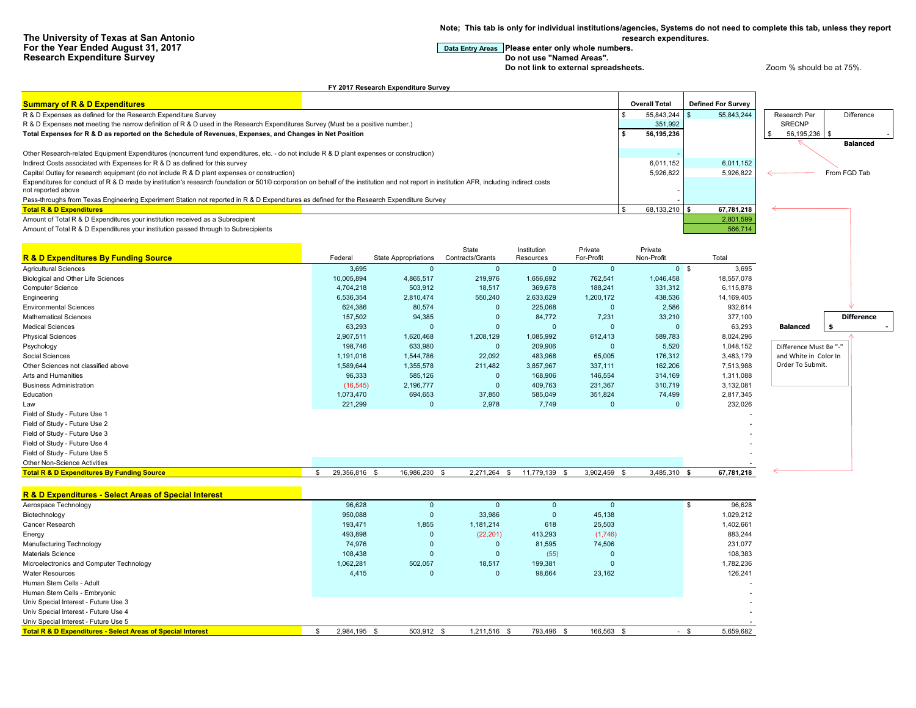**Note; This tab is only for individual institutions/agencies, Systems do not need to complete this tab, unless they report research expenditures.**

## **For the Year Entry Areas** Please enter only whole numbers.<br>Do not use "Named Areas".

**Do not link to external spreadsheets. Let up a very spread of the 200 m**  $\alpha$  and  $\alpha$  at 75%.

|                                                                                                                                                                                          |                     | FY 2017 Research Expenditure Survey |                           |                          |                         |                       |                           |                        |              |                   |
|------------------------------------------------------------------------------------------------------------------------------------------------------------------------------------------|---------------------|-------------------------------------|---------------------------|--------------------------|-------------------------|-----------------------|---------------------------|------------------------|--------------|-------------------|
| <b>Summary of R &amp; D Expenditures</b>                                                                                                                                                 |                     |                                     |                           |                          |                         | <b>Overall Total</b>  | <b>Defined For Survey</b> |                        |              |                   |
| R & D Expenses as defined for the Research Expenditure Survey                                                                                                                            |                     |                                     |                           |                          |                         | \$.<br>55,843,244     | 55,843,244                | Research Per           |              | Difference        |
| R & D Expenses not meeting the narrow definition of R & D used in the Research Expenditures Survey (Must be a positive number.)                                                          |                     |                                     |                           |                          |                         | 351,992               |                           | <b>SRECNP</b>          |              |                   |
| Total Expenses for R & D as reported on the Schedule of Revenues, Expenses, and Changes in Net Position                                                                                  |                     |                                     |                           |                          |                         | \$<br>56,195,236      |                           | 56,195,236 \$          |              |                   |
|                                                                                                                                                                                          |                     |                                     |                           |                          |                         |                       |                           |                        |              | <b>Balanced</b>   |
| Other Research-related Equipment Expenditures (noncurrent fund expenditures, etc. - do not include R & D plant expenses or construction)                                                 |                     |                                     |                           |                          |                         |                       |                           |                        |              |                   |
| Indirect Costs associated with Expenses for R & D as defined for this survey                                                                                                             |                     |                                     |                           |                          |                         | 6,011,152             | 6,011,152                 |                        |              |                   |
| Capital Outlay for research equipment (do not include R & D plant expenses or construction)                                                                                              |                     |                                     |                           |                          |                         | 5,926,822             | 5,926,822                 |                        | From FGD Tab |                   |
| Expenditures for conduct of R & D made by institution's research foundation or 501© corporation on behalf of the institution and not report in institution AFR, including indirect costs |                     |                                     |                           |                          |                         |                       |                           |                        |              |                   |
| not reported above                                                                                                                                                                       |                     |                                     |                           |                          |                         |                       |                           |                        |              |                   |
| Pass-throughs from Texas Engineering Experiment Station not reported in R & D Expenditures as defined for the Research Expenditure Survey                                                |                     |                                     |                           |                          |                         |                       |                           |                        |              |                   |
| <b>Total R &amp; D Expenditures</b>                                                                                                                                                      |                     |                                     |                           |                          | $\mathfrak{L}$          | 68,133,210 \$         | 67,781,218                |                        |              |                   |
| Amount of Total R & D Expenditures your institution received as a Subrecipient                                                                                                           |                     |                                     |                           |                          |                         |                       | 2,801,599                 |                        |              |                   |
| Amount of Total R & D Expenditures your institution passed through to Subrecipients                                                                                                      |                     |                                     |                           |                          |                         |                       | 566,714                   |                        |              |                   |
|                                                                                                                                                                                          |                     |                                     |                           |                          |                         |                       |                           |                        |              |                   |
|                                                                                                                                                                                          |                     |                                     |                           |                          |                         |                       |                           |                        |              |                   |
| <b>R &amp; D Expenditures By Funding Source</b>                                                                                                                                          | Federal             | <b>State Appropriations</b>         | State<br>Contracts/Grants | Institution<br>Resources | Private<br>For-Profit   | Private<br>Non-Profit | Total                     |                        |              |                   |
| <b>Agricultural Sciences</b>                                                                                                                                                             |                     | $\Omega$                            |                           | $\mathbf{0}$             |                         |                       |                           |                        |              |                   |
|                                                                                                                                                                                          | 3,695               |                                     | $\mathbf 0$               |                          | $\mathbf 0$             |                       | 0 <sup>5</sup><br>3,695   |                        |              |                   |
| Biological and Other Life Sciences                                                                                                                                                       | 10,005,894          | 4,865,517                           | 219,976                   | 1,656,692                | 762,541                 | 1,046,458             | 18,557,078                |                        |              |                   |
| Computer Science                                                                                                                                                                         | 4,704,218           | 503,912                             | 18,517                    | 369,678                  | 188,241                 | 331,312               | 6,115,878                 |                        |              |                   |
| Engineering                                                                                                                                                                              | 6,536,354           | 2,810,474                           | 550,240                   | 2,633,629                | 1.200.172               | 438,536               | 14,169,405                |                        |              |                   |
| <b>Environmental Sciences</b>                                                                                                                                                            | 624,386             | 80,574                              | $\mathbf 0$               | 225,068                  | $\overline{0}$          | 2,586                 | 932,614                   |                        |              |                   |
| <b>Mathematical Sciences</b>                                                                                                                                                             | 157,502             | 94,385                              | $\overline{0}$            | 84,772                   | 7,231                   | 33,210                | 377,100                   |                        |              | <b>Difference</b> |
| <b>Medical Sciences</b>                                                                                                                                                                  | 63.293              | $\Omega$                            | $\Omega$                  | $\Omega$                 | $\Omega$                | $\Omega$              | 63.293                    | <b>Balanced</b>        | -5           |                   |
| <b>Physical Sciences</b>                                                                                                                                                                 | 2,907,511           | 1,620,468                           | 1,208,129                 | 1,085,992                | 612,413                 | 589,783               | 8,024,296                 |                        |              |                   |
| Psychology                                                                                                                                                                               | 198,746             | 633,980                             | $\overline{0}$            | 209,906                  | $\overline{0}$          | 5,520                 | 1,048,152                 | Difference Must Be "-" |              |                   |
| Social Sciences                                                                                                                                                                          | 1,191,016           | 1,544,786                           | 22,092                    | 483,968                  | 65,005                  | 176,312               | 3,483,179                 | and White in Color In  |              |                   |
| Other Sciences not classified above                                                                                                                                                      | 1,589,644           | 1,355,578                           | 211,482                   | 3,857,967                | 337,111                 | 162,206               | 7,513,988                 | Order To Submit.       |              |                   |
| Arts and Humanities                                                                                                                                                                      | 96,333              | 585,126                             | $\overline{\mathbf{0}}$   | 168,906                  | 146,554                 | 314,169               | 1,311,088                 |                        |              |                   |
| <b>Business Administration</b>                                                                                                                                                           | (16, 545)           | 2,196,777                           | $\overline{0}$            | 409,763                  | 231,367                 | 310,719               | 3,132,081                 |                        |              |                   |
| Education                                                                                                                                                                                | 1,073,470           | 694,653                             | 37,850                    | 585,049                  | 351,824                 | 74,499                | 2,817,345                 |                        |              |                   |
| Law                                                                                                                                                                                      | 221,299             | $\Omega$                            | 2,978                     | 7,749                    | $\Omega$                | $\mathbf{0}$          | 232.026                   |                        |              |                   |
| Field of Study - Future Use 1                                                                                                                                                            |                     |                                     |                           |                          |                         |                       |                           |                        |              |                   |
| Field of Study - Future Use 2                                                                                                                                                            |                     |                                     |                           |                          |                         |                       |                           |                        |              |                   |
| Field of Study - Future Use 3                                                                                                                                                            |                     |                                     |                           |                          |                         |                       |                           |                        |              |                   |
| Field of Study - Future Use 4                                                                                                                                                            |                     |                                     |                           |                          |                         |                       |                           |                        |              |                   |
| Field of Study - Future Use 5                                                                                                                                                            |                     |                                     |                           |                          |                         |                       |                           |                        |              |                   |
| Other Non-Science Activities                                                                                                                                                             |                     |                                     |                           |                          |                         |                       |                           |                        |              |                   |
| <b>Total R &amp; D Expenditures By Funding Source</b>                                                                                                                                    | 29,356,816 \$<br>S. | 16,986,230 \$                       | 2,271,264 \$              | 11,779,139 \$            | 3,902,459 \$            | 3,485,310 \$          | 67,781,218                |                        |              |                   |
|                                                                                                                                                                                          |                     |                                     |                           |                          |                         |                       |                           |                        |              |                   |
|                                                                                                                                                                                          |                     |                                     |                           |                          |                         |                       |                           |                        |              |                   |
| R & D Expenditures - Select Areas of Special Interest                                                                                                                                    |                     |                                     |                           |                          |                         |                       |                           |                        |              |                   |
| Aerospace Technology                                                                                                                                                                     | 96,628              | $\Omega$                            | $\overline{0}$            | $\Omega$                 | $\overline{\mathbf{0}}$ |                       | \$<br>96,628              |                        |              |                   |
| Biotechnology                                                                                                                                                                            | 950,088             | $\overline{0}$                      | 33,986                    | $\mathbf 0$              | 45,138                  |                       | 1,029,212                 |                        |              |                   |
| Cancer Research                                                                                                                                                                          | 193,471             | 1,855                               | 1,181,214                 | 618                      | 25,503                  |                       | 1,402,661                 |                        |              |                   |
| Energy                                                                                                                                                                                   | 493,898             | $\Omega$                            | (22, 201)                 | 413,293                  | (1,746)                 |                       | 883,244                   |                        |              |                   |
| Manufacturing Technology                                                                                                                                                                 | 74,976              | $\Omega$                            | $\overline{0}$            | 81,595                   | 74,506                  |                       | 231,077                   |                        |              |                   |
| <b>Materials Science</b>                                                                                                                                                                 | 108,438             | $\Omega$                            | $\overline{\mathbf{0}}$   | (55)                     | $\Omega$                |                       | 108,383                   |                        |              |                   |
| Microelectronics and Computer Technology                                                                                                                                                 | 1,062,281           | 502,057                             | 18,517                    | 199,381                  | $\overline{0}$          |                       | 1,782,236                 |                        |              |                   |
| <b>Water Resources</b>                                                                                                                                                                   | 4,415               | $\Omega$                            | $\mathbf{0}$              | 98,664                   | 23,162                  |                       | 126,241                   |                        |              |                   |
| Human Stem Cells - Adult                                                                                                                                                                 |                     |                                     |                           |                          |                         |                       |                           |                        |              |                   |
| Human Stem Cells - Embryonic                                                                                                                                                             |                     |                                     |                           |                          |                         |                       |                           |                        |              |                   |
| Univ Special Interest - Future Use 3                                                                                                                                                     |                     |                                     |                           |                          |                         |                       |                           |                        |              |                   |
| Univ Special Interest - Future Use 4                                                                                                                                                     |                     |                                     |                           |                          |                         |                       |                           |                        |              |                   |
| Univ Special Interest - Future Use 5                                                                                                                                                     |                     |                                     |                           |                          |                         |                       |                           |                        |              |                   |
| <b>Total R &amp; D Expenditures - Select Areas of Special Interest</b>                                                                                                                   | 2,984,195 \$<br>\$  | 503,912 \$                          | 1,211,516                 | 793,496 \$<br>- \$       | 166,563 \$              |                       | 5.659.682<br>$-$ \$       |                        |              |                   |